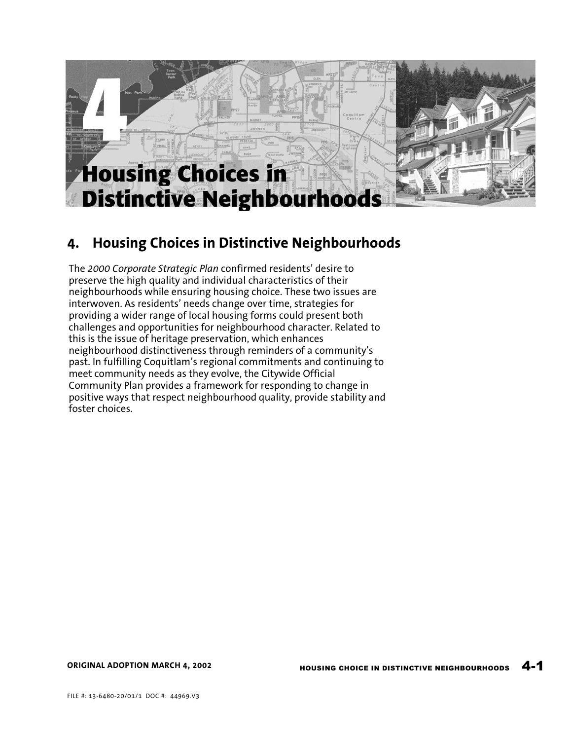

# **4. Housing Choices in Distinctive Neighbourhoods**

The *2000 Corporate Strategic Plan* confirmed residents' desire to preserve the high quality and individual characteristics of their neighbourhoods while ensuring housing choice. These two issues are interwoven. As residents' needs change over time, strategies for providing a wider range of local housing forms could present both challenges and opportunities for neighbourhood character. Related to this is the issue of heritage preservation, which enhances neighbourhood distinctiveness through reminders of a community's past. In fulfilling Coquitlam's regional commitments and continuing to meet community needs as they evolve, the Citywide Official Community Plan provides a framework for responding to change in positive ways that respect neighbourhood quality, provide stability and foster choices.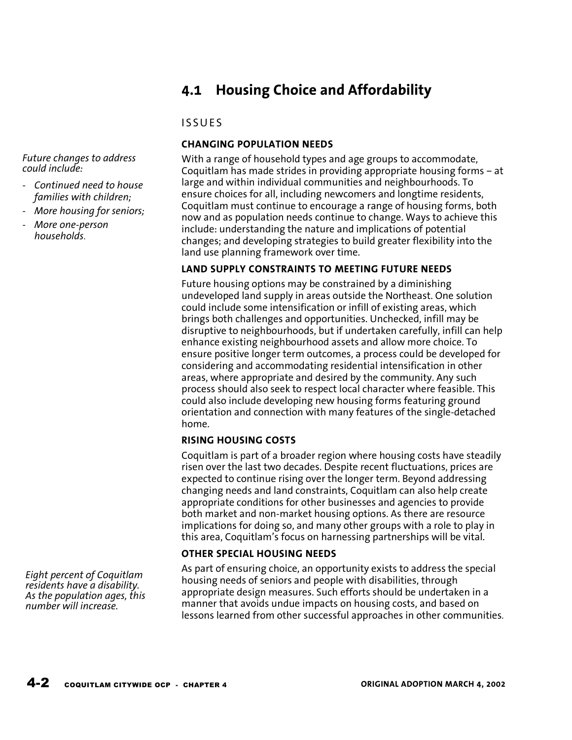# **4.1 Housing Choice and Affordability**

# **ISSUES**

# **CHANGING POPULATION NEEDS**

With a range of household types and age groups to accommodate, Coquitlam has made strides in providing appropriate housing forms – at large and within individual communities and neighbourhoods. To ensure choices for all, including newcomers and longtime residents, Coquitlam must continue to encourage a range of housing forms, both now and as population needs continue to change. Ways to achieve this include: understanding the nature and implications of potential changes; and developing strategies to build greater flexibility into the land use planning framework over time.

# **LAND SUPPLY CONSTRAINTS TO MEETING FUTURE NEEDS**

Future housing options may be constrained by a diminishing undeveloped land supply in areas outside the Northeast. One solution could include some intensification or infill of existing areas, which brings both challenges and opportunities. Unchecked, infill may be disruptive to neighbourhoods, but if undertaken carefully, infill can help enhance existing neighbourhood assets and allow more choice. To ensure positive longer term outcomes, a process could be developed for considering and accommodating residential intensification in other areas, where appropriate and desired by the community. Any such process should also seek to respect local character where feasible. This could also include developing new housing forms featuring ground orientation and connection with many features of the single-detached home.

# **RISING HOUSING COSTS**

Coquitlam is part of a broader region where housing costs have steadily risen over the last two decades. Despite recent fluctuations, prices are expected to continue rising over the longer term. Beyond addressing changing needs and land constraints, Coquitlam can also help create appropriate conditions for other businesses and agencies to provide both market and non-market housing options. As there are resource implications for doing so, and many other groups with a role to play in this area, Coquitlam's focus on harnessing partnerships will be vital.

# **OTHER SPECIAL HOUSING NEEDS**

As part of ensuring choice, an opportunity exists to address the special housing needs of seniors and people with disabilities, through appropriate design measures. Such efforts should be undertaken in a manner that avoids undue impacts on housing costs, and based on lessons learned from other successful approaches in other communities.

*Future changes to address could include:* 

- *Continued need to house families with children;*
- *More housing for seniors;*
- *More one-person households.*

*Eight percent of Coquitlam residents have a disability. As the population ages, this number will increase.*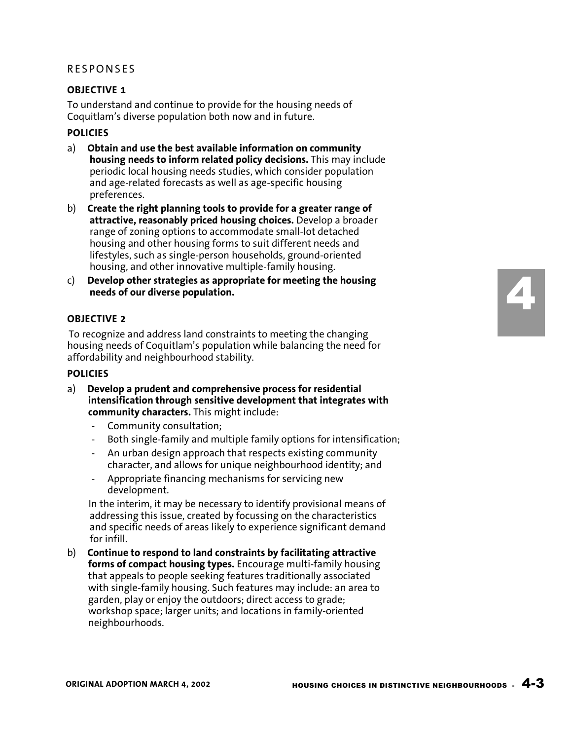## **RESPONSES**

## **OBJECTIVE 1**

To understand and continue to provide for the housing needs of Coquitlam's diverse population both now and in future.

#### **POLICIES**

- a) **Obtain and use the best available information on community housing needs to inform related policy decisions.** This may include periodic local housing needs studies, which consider population and age-related forecasts as well as age-specific housing preferences.
- b) **Create the right planning tools to provide for a greater range of attractive, reasonably priced housing choices.** Develop a broader range of zoning options to accommodate small-lot detached housing and other housing forms to suit different needs and lifestyles, such as single-person households, ground-oriented housing, and other innovative multiple-family housing.
- c) **Develop other strategies as appropriate for meeting the housing needs of our diverse population.**

## **OBJECTIVE 2**

To recognize and address land constraints to meeting the changing housing needs of Coquitlam's population while balancing the need for affordability and neighbourhood stability.

#### **POLICIES**

- a) **Develop a prudent and comprehensive process for residential intensification through sensitive development that integrates with community characters.** This might include:
	- Community consultation;
	- Both single-family and multiple family options for intensification;
	- An urban design approach that respects existing community character, and allows for unique neighbourhood identity; and
	- Appropriate financing mechanisms for servicing new development.

In the interim, it may be necessary to identify provisional means of addressing this issue, created by focussing on the characteristics and specific needs of areas likely to experience significant demand for infill.

b) **Continue to respond to land constraints by facilitating attractive forms of compact housing types.** Encourage multi-family housing that appeals to people seeking features traditionally associated with single-family housing. Such features may include: an area to garden, play or enjoy the outdoors; direct access to grade; workshop space; larger units; and locations in family-oriented neighbourhoods.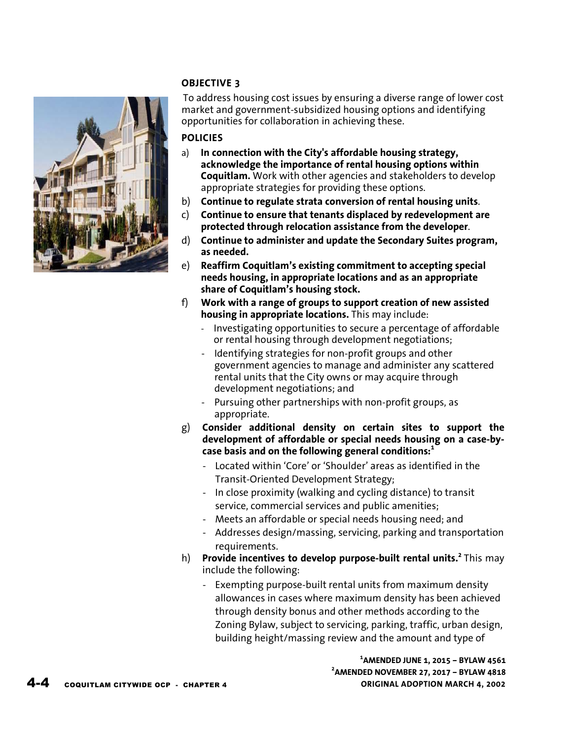## **OBJECTIVE 3**



To address housing cost issues by ensuring a diverse range of lower cost market and government-subsidized housing options and identifying opportunities for collaboration in achieving these.

## **POLICIES**

- a) **In connection with the City's affordable housing strategy, acknowledge the importance of rental housing options within Coquitlam.** Work with other agencies and stakeholders to develop appropriate strategies for providing these options.
- b) **Continue to regulate strata conversion of rental housing units**.
- c) **Continue to ensure that tenants displaced by redevelopment are protected through relocation assistance from the developer**.
- d) **Continue to administer and update the Secondary Suites program, as needed.**
- e) **Reaffirm Coquitlam's existing commitment to accepting special needs housing, in appropriate locations and as an appropriate share of Coquitlam's housing stock.**
- f) **Work with a range of groups to support creation of new assisted housing in appropriate locations.** This may include:
	- Investigating opportunities to secure a percentage of affordable or rental housing through development negotiations;
	- Identifying strategies for non-profit groups and other government agencies to manage and administer any scattered rental units that the City owns or may acquire through development negotiations; and
	- Pursuing other partnerships with non-profit groups, as appropriate.
- g) **Consider additional density on certain sites to support the development of affordable or special needs housing on a case-bycase basis and on the following general conditions:<sup>1</sup>**
	- Located within 'Core' or 'Shoulder' areas as identified in the Transit-Oriented Development Strategy;
	- In close proximity (walking and cycling distance) to transit service, commercial services and public amenities;
	- Meets an affordable or special needs housing need; and
	- Addresses design/massing, servicing, parking and transportation requirements.
- h) **Provide incentives to develop purpose-built rental units.<sup>2</sup>**This may include the following:
	- Exempting purpose-built rental units from maximum density allowances in cases where maximum density has been achieved through density bonus and other methods according to the Zoning Bylaw, subject to servicing, parking, traffic, urban design, building height/massing review and the amount and type of

**1 AMENDED JUNE 1, 2015 – BYLAW 4561 2 AMENDED NOVEMBER 27, 2017 – BYLAW 4818**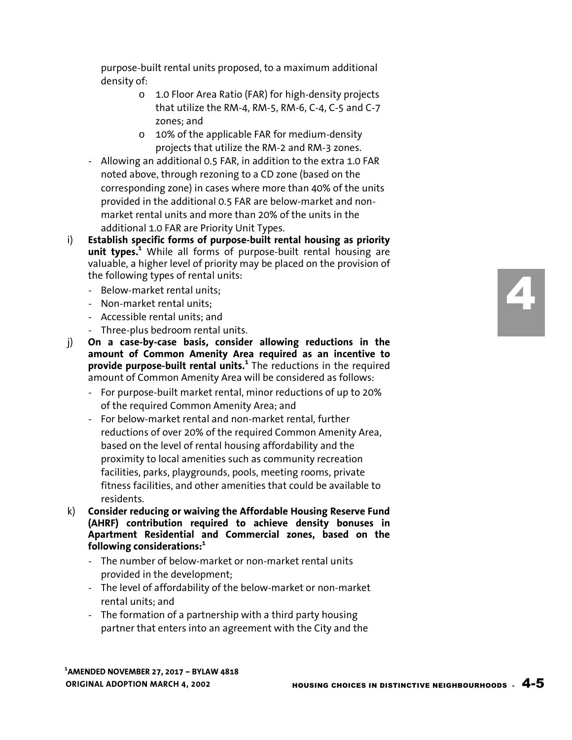purpose-built rental units proposed, to a maximum additional density of:

- o 1.0 Floor Area Ratio (FAR) for high-density projects that utilize the RM-4, RM-5, RM-6, C-4, C-5 and C-7 zones; and
- o 10% of the applicable FAR for medium-density projects that utilize the RM-2 and RM-3 zones.
- Allowing an additional 0.5 FAR, in addition to the extra 1.0 FAR noted above, through rezoning to a CD zone (based on the corresponding zone) in cases where more than 40% of the units provided in the additional 0.5 FAR are below-market and nonmarket rental units and more than 20% of the units in the additional 1.0 FAR are Priority Unit Types.
- i) **Establish specific forms of purpose-built rental housing as priority unit types.<sup>1</sup>** While all forms of purpose-built rental housing are valuable, a higher level of priority may be placed on the provision of the following types of rental units:
	- Below-market rental units;
	- Non-market rental units;
	- Accessible rental units; and
	- Three-plus bedroom rental units.
- j) **On a case-by-case basis, consider allowing reductions in the amount of Common Amenity Area required as an incentive to provide purpose-built rental units.<sup>1</sup>** The reductions in the required amount of Common Amenity Area will be considered as follows:
	- For purpose-built market rental, minor reductions of up to 20% of the required Common Amenity Area; and
	- For below-market rental and non-market rental, further reductions of over 20% of the required Common Amenity Area, based on the level of rental housing affordability and the proximity to local amenities such as community recreation facilities, parks, playgrounds, pools, meeting rooms, private fitness facilities, and other amenities that could be available to residents.
- k) **Consider reducing or waiving the Affordable Housing Reserve Fund (AHRF) contribution required to achieve density bonuses in Apartment Residential and Commercial zones, based on the following considerations:<sup>1</sup>**
	- The number of below-market or non-market rental units provided in the development;
	- The level of affordability of the below-market or non-market rental units; and
	- The formation of a partnership with a third party housing partner that enters into an agreement with the City and the

4

**ORIGINAL ADOPTION MARCH 4, 2002 1 AMENDED NOVEMBER 27, 2017 – BYLAW 4818**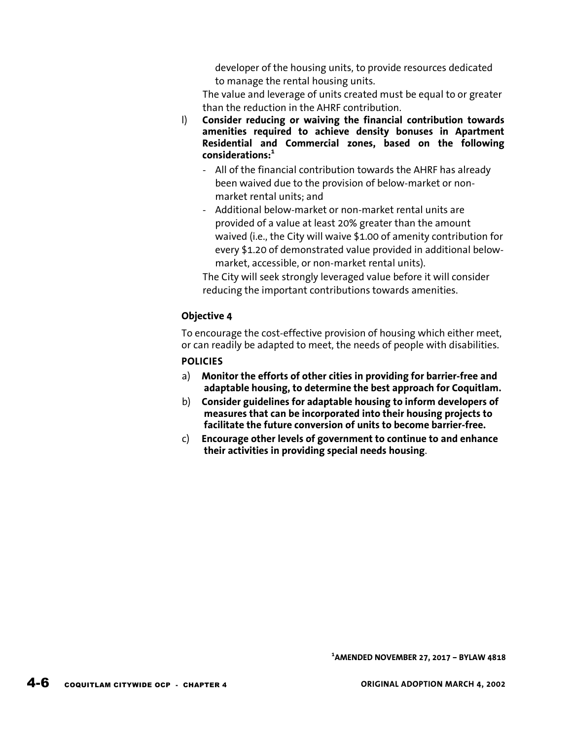developer of the housing units, to provide resources dedicated to manage the rental housing units.

The value and leverage of units created must be equal to or greater than the reduction in the AHRF contribution.

- l) **Consider reducing or waiving the financial contribution towards amenities required to achieve density bonuses in Apartment Residential and Commercial zones, based on the following considerations:<sup>1</sup>**
	- All of the financial contribution towards the AHRF has already been waived due to the provision of below-market or nonmarket rental units; and
	- Additional below-market or non-market rental units are provided of a value at least 20% greater than the amount waived (i.e., the City will waive \$1.00 of amenity contribution for every \$1.20 of demonstrated value provided in additional belowmarket, accessible, or non-market rental units).

The City will seek strongly leveraged value before it will consider reducing the important contributions towards amenities.

## **Objective 4**

To encourage the cost-effective provision of housing which either meet, or can readily be adapted to meet, the needs of people with disabilities.

## **POLICIES**

- a) **Monitor the efforts of other cities in providing for barrier-free and adaptable housing, to determine the best approach for Coquitlam.**
- b) **Consider guidelines for adaptable housing to inform developers of measures that can be incorporated into their housing projects to facilitate the future conversion of units to become barrier-free.**
- c) **Encourage other levels of government to continue to and enhance their activities in providing special needs housing**.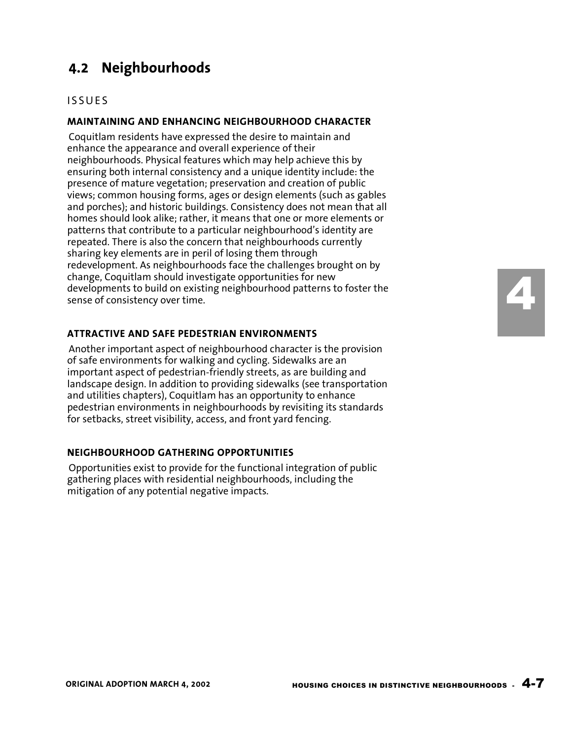# **4.2 Neighbourhoods**

### **ISSUES**

#### **MAINTAINING AND ENHANCING NEIGHBOURHOOD CHARACTER**

Coquitlam residents have expressed the desire to maintain and enhance the appearance and overall experience of their neighbourhoods. Physical features which may help achieve this by ensuring both internal consistency and a unique identity include: the presence of mature vegetation; preservation and creation of public views; common housing forms, ages or design elements (such as gables and porches); and historic buildings. Consistency does not mean that all homes should look alike; rather, it means that one or more elements or patterns that contribute to a particular neighbourhood's identity are repeated. There is also the concern that neighbourhoods currently sharing key elements are in peril of losing them through redevelopment. As neighbourhoods face the challenges brought on by change, Coquitlam should investigate opportunities for new developments to build on existing neighbourhood patterns to foster the sense of consistency over time.

#### **ATTRACTIVE AND SAFE PEDESTRIAN ENVIRONMENTS**

Another important aspect of neighbourhood character is the provision of safe environments for walking and cycling. Sidewalks are an important aspect of pedestrian-friendly streets, as are building and landscape design. In addition to providing sidewalks (see transportation and utilities chapters), Coquitlam has an opportunity to enhance pedestrian environments in neighbourhoods by revisiting its standards for setbacks, street visibility, access, and front yard fencing.

#### **NEIGHBOURHOOD GATHERING OPPORTUNITIES**

Opportunities exist to provide for the functional integration of public gathering places with residential neighbourhoods, including the mitigation of any potential negative impacts.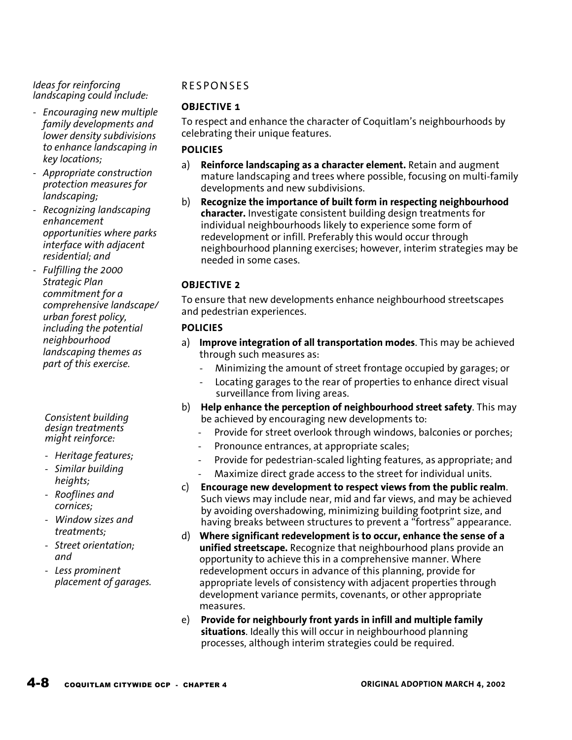#### *Ideas for reinforcing landscaping could include:*

- *Encouraging new multiple family developments and lower density subdivisions to enhance landscaping in key locations;*
- *Appropriate construction protection measures for landscaping;*
- *Recognizing landscaping enhancement opportunities where parks interface with adjacent residential; and*
- *Fulfilling the 2000 Strategic Plan commitment for a comprehensive landscape/ urban forest policy, including the potential neighbourhood landscaping themes as part of this exercise.*

#### *Consistent building design treatments might reinforce:*

- *Heritage features;*
- *Similar building heights;*
- *Rooflines and cornices;*
- *Window sizes and treatments;*
- *Street orientation; and*
- *Less prominent placement of garages.*

# **RESPONSES**

# **OBJECTIVE 1**

To respect and enhance the character of Coquitlam's neighbourhoods by celebrating their unique features.

## **POLICIES**

- a) **Reinforce landscaping as a character element.** Retain and augment mature landscaping and trees where possible, focusing on multi-family developments and new subdivisions.
- b) **Recognize the importance of built form in respecting neighbourhood character.** Investigate consistent building design treatments for individual neighbourhoods likely to experience some form of redevelopment or infill. Preferably this would occur through neighbourhood planning exercises; however, interim strategies may be needed in some cases.

# **OBJECTIVE 2**

To ensure that new developments enhance neighbourhood streetscapes and pedestrian experiences.

# **POLICIES**

- a) **Improve integration of all transportation modes**. This may be achieved through such measures as:
	- Minimizing the amount of street frontage occupied by garages; or
	- Locating garages to the rear of properties to enhance direct visual surveillance from living areas.
- b) **Help enhance the perception of neighbourhood street safety**. This may be achieved by encouraging new developments to:
	- Provide for street overlook through windows, balconies or porches;
	- Pronounce entrances, at appropriate scales;
	- Provide for pedestrian-scaled lighting features, as appropriate; and
	- Maximize direct grade access to the street for individual units.
- c) **Encourage new development to respect views from the public realm**. Such views may include near, mid and far views, and may be achieved by avoiding overshadowing, minimizing building footprint size, and having breaks between structures to prevent a "fortress" appearance.
- d) **Where significant redevelopment is to occur, enhance the sense of a unified streetscape.** Recognize that neighbourhood plans provide an opportunity to achieve this in a comprehensive manner. Where redevelopment occurs in advance of this planning, provide for appropriate levels of consistency with adjacent properties through development variance permits, covenants, or other appropriate measures.
- e) **Provide for neighbourly front yards in infill and multiple family situations**. Ideally this will occur in neighbourhood planning processes, although interim strategies could be required.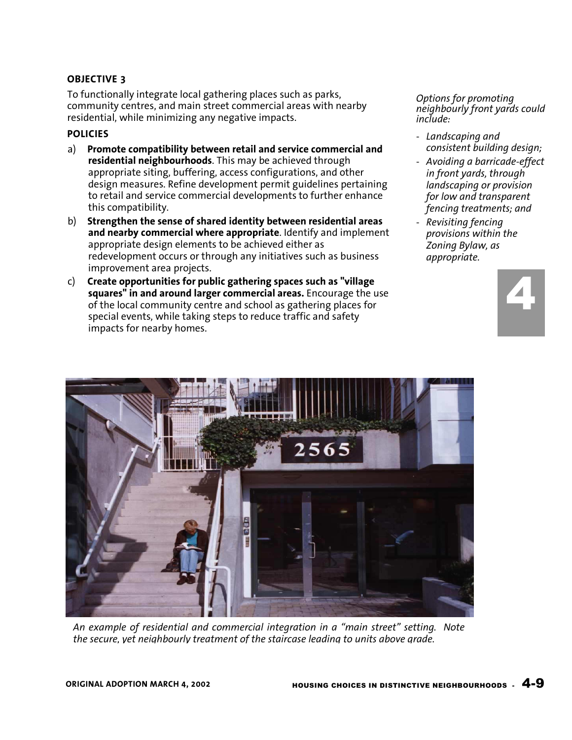## **OBJECTIVE 3**

To functionally integrate local gathering places such as parks, community centres, and main street commercial areas with nearby residential, while minimizing any negative impacts.

### **POLICIES**

- a) **Promote compatibility between retail and service commercial and residential neighbourhoods**. This may be achieved through appropriate siting, buffering, access configurations, and other design measures. Refine development permit guidelines pertaining to retail and service commercial developments to further enhance this compatibility.
- b) **Strengthen the sense of shared identity between residential areas and nearby commercial where appropriate**. Identify and implement appropriate design elements to be achieved either as redevelopment occurs or through any initiatives such as business improvement area projects.
- c) **Create opportunities for public gathering spaces such as "village squares" in and around larger commercial areas.** Encourage the use of the local community centre and school as gathering places for special events, while taking steps to reduce traffic and safety impacts for nearby homes.

*Options for promoting neighbourly front yards could include:* 

- *Landscaping and consistent building design;*
- *Avoiding a barricade-effect in front yards, through landscaping or provision for low and transparent fencing treatments; and*
- *Revisiting fencing provisions within the Zoning Bylaw, as appropriate.*





*An example of residential and commercial integration in a "main street" setting. Note the secure, yet neighbourly treatment of the staircase leading to units above grade.*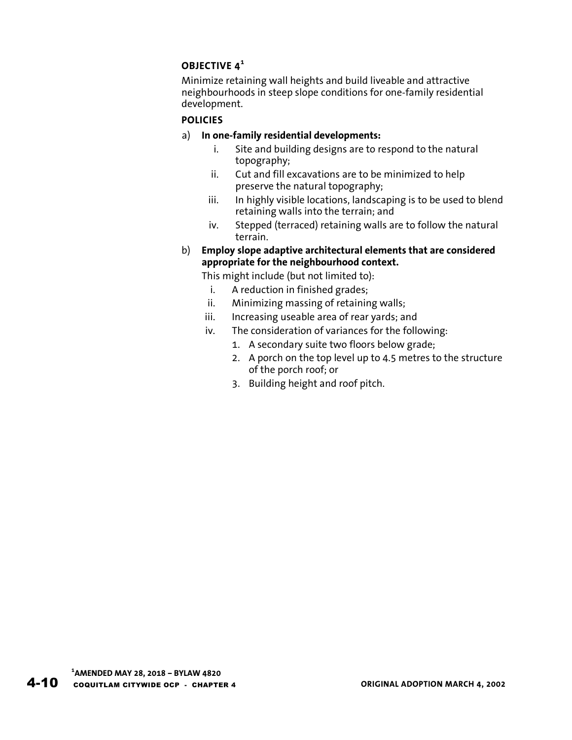# **OBJECTIVE 4<sup>1</sup>**

Minimize retaining wall heights and build liveable and attractive neighbourhoods in steep slope conditions for one-family residential development.

# **POLICIES**

# a) **In one-family residential developments:**

- i. Site and building designs are to respond to the natural topography;
- ii. Cut and fill excavations are to be minimized to help preserve the natural topography;
- iii. In highly visible locations, landscaping is to be used to blend retaining walls into the terrain; and
- iv. Stepped (terraced) retaining walls are to follow the natural terrain.
- b) **Employ slope adaptive architectural elements that are considered appropriate for the neighbourhood context.**
	- This might include (but not limited to):
		- i. A reduction in finished grades;
	- ii. Minimizing massing of retaining walls;
	- iii. Increasing useable area of rear yards; and
	- iv. The consideration of variances for the following:
		- 1. A secondary suite two floors below grade;
		- 2. A porch on the top level up to 4.5 metres to the structure of the porch roof; or
		- 3. Building height and roof pitch.